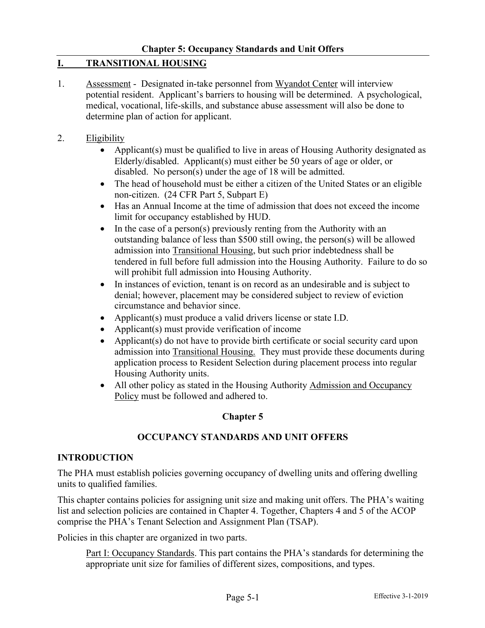# **I. TRANSITIONAL HOUSING**

- 1. Assessment Designated in-take personnel from Wyandot Center will interview potential resident. Applicant's barriers to housing will be determined. A psychological, medical, vocational, life-skills, and substance abuse assessment will also be done to determine plan of action for applicant.
- 2. Eligibility
	- Applicant(s) must be qualified to live in areas of Housing Authority designated as Elderly/disabled. Applicant(s) must either be 50 years of age or older, or disabled. No person(s) under the age of 18 will be admitted.
	- The head of household must be either a citizen of the United States or an eligible non-citizen. (24 CFR Part 5, Subpart E)
	- Has an Annual Income at the time of admission that does not exceed the income limit for occupancy established by HUD.
	- In the case of a person(s) previously renting from the Authority with an outstanding balance of less than \$500 still owing, the person(s) will be allowed admission into Transitional Housing, but such prior indebtedness shall be tendered in full before full admission into the Housing Authority. Failure to do so will prohibit full admission into Housing Authority.
	- In instances of eviction, tenant is on record as an undesirable and is subject to denial; however, placement may be considered subject to review of eviction circumstance and behavior since.
	- Applicant(s) must produce a valid drivers license or state I.D.
	- Applicant(s) must provide verification of income
	- Applicant(s) do not have to provide birth certificate or social security card upon admission into Transitional Housing. They must provide these documents during application process to Resident Selection during placement process into regular Housing Authority units.
	- All other policy as stated in the Housing Authority Admission and Occupancy Policy must be followed and adhered to.

# **Chapter 5**

### **OCCUPANCY STANDARDS AND UNIT OFFERS**

### **INTRODUCTION**

The PHA must establish policies governing occupancy of dwelling units and offering dwelling units to qualified families.

This chapter contains policies for assigning unit size and making unit offers. The PHA's waiting list and selection policies are contained in Chapter 4. Together, Chapters 4 and 5 of the ACOP comprise the PHA's Tenant Selection and Assignment Plan (TSAP).

Policies in this chapter are organized in two parts.

Part I: Occupancy Standards. This part contains the PHA's standards for determining the appropriate unit size for families of different sizes, compositions, and types.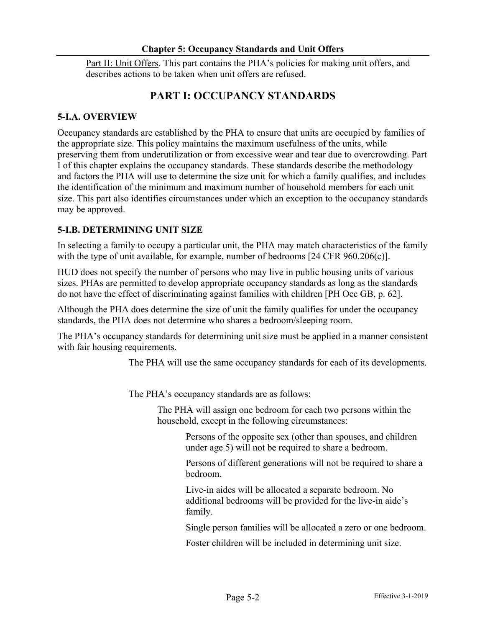Part II: Unit Offers. This part contains the PHA's policies for making unit offers, and describes actions to be taken when unit offers are refused.

# **PART I: OCCUPANCY STANDARDS**

# **5-I.A. OVERVIEW**

Occupancy standards are established by the PHA to ensure that units are occupied by families of the appropriate size. This policy maintains the maximum usefulness of the units, while preserving them from underutilization or from excessive wear and tear due to overcrowding. Part I of this chapter explains the occupancy standards. These standards describe the methodology and factors the PHA will use to determine the size unit for which a family qualifies, and includes the identification of the minimum and maximum number of household members for each unit size. This part also identifies circumstances under which an exception to the occupancy standards may be approved.

# **5-I.B. DETERMINING UNIT SIZE**

In selecting a family to occupy a particular unit, the PHA may match characteristics of the family with the type of unit available, for example, number of bedrooms [24 CFR 960.206(c)].

HUD does not specify the number of persons who may live in public housing units of various sizes. PHAs are permitted to develop appropriate occupancy standards as long as the standards do not have the effect of discriminating against families with children [PH Occ GB, p. 62].

Although the PHA does determine the size of unit the family qualifies for under the occupancy standards, the PHA does not determine who shares a bedroom/sleeping room.

The PHA's occupancy standards for determining unit size must be applied in a manner consistent with fair housing requirements.

The PHA will use the same occupancy standards for each of its developments.

The PHA's occupancy standards are as follows:

The PHA will assign one bedroom for each two persons within the household, except in the following circumstances:

> Persons of the opposite sex (other than spouses, and children under age 5) will not be required to share a bedroom.

Persons of different generations will not be required to share a bedroom.

Live-in aides will be allocated a separate bedroom. No additional bedrooms will be provided for the live-in aide's family.

Single person families will be allocated a zero or one bedroom.

Foster children will be included in determining unit size.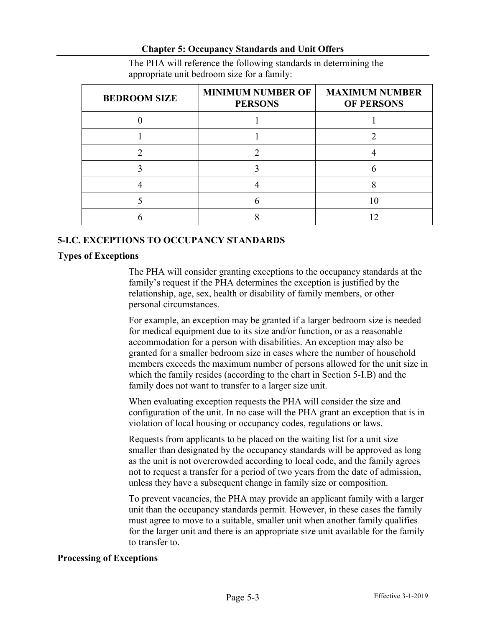| <b>BEDROOM SIZE</b> | <b>MINIMUM NUMBER OF</b><br><b>PERSONS</b> | <b>MAXIMUM NUMBER</b><br><b>OF PERSONS</b> |
|---------------------|--------------------------------------------|--------------------------------------------|
|                     |                                            |                                            |
|                     |                                            |                                            |
|                     |                                            |                                            |
|                     |                                            |                                            |
|                     |                                            |                                            |
|                     |                                            |                                            |
|                     |                                            |                                            |

The PHA will reference the following standards in determining the appropriate unit bedroom size for a family:

### **5-I.C. EXCEPTIONS TO OCCUPANCY STANDARDS**

#### **Types of Exceptions**

The PHA will consider granting exceptions to the occupancy standards at the family's request if the PHA determines the exception is justified by the relationship, age, sex, health or disability of family members, or other personal circumstances.

For example, an exception may be granted if a larger bedroom size is needed for medical equipment due to its size and/or function, or as a reasonable accommodation for a person with disabilities. An exception may also be granted for a smaller bedroom size in cases where the number of household members exceeds the maximum number of persons allowed for the unit size in which the family resides (according to the chart in Section 5-I.B) and the family does not want to transfer to a larger size unit.

When evaluating exception requests the PHA will consider the size and configuration of the unit. In no case will the PHA grant an exception that is in violation of local housing or occupancy codes, regulations or laws.

Requests from applicants to be placed on the waiting list for a unit size smaller than designated by the occupancy standards will be approved as long as the unit is not overcrowded according to local code, and the family agrees not to request a transfer for a period of two years from the date of admission, unless they have a subsequent change in family size or composition.

To prevent vacancies, the PHA may provide an applicant family with a larger unit than the occupancy standards permit. However, in these cases the family must agree to move to a suitable, smaller unit when another family qualifies for the larger unit and there is an appropriate size unit available for the family to transfer to.

### **Processing of Exceptions**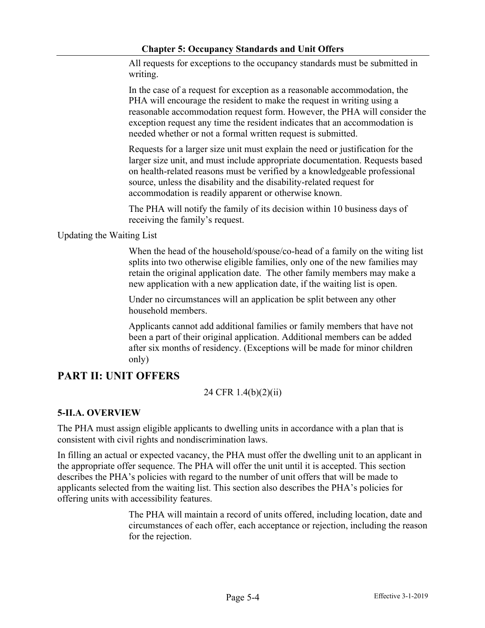All requests for exceptions to the occupancy standards must be submitted in writing.

In the case of a request for exception as a reasonable accommodation, the PHA will encourage the resident to make the request in writing using a reasonable accommodation request form. However, the PHA will consider the exception request any time the resident indicates that an accommodation is needed whether or not a formal written request is submitted.

Requests for a larger size unit must explain the need or justification for the larger size unit, and must include appropriate documentation. Requests based on health-related reasons must be verified by a knowledgeable professional source, unless the disability and the disability-related request for accommodation is readily apparent or otherwise known.

The PHA will notify the family of its decision within 10 business days of receiving the family's request.

Updating the Waiting List

When the head of the household/spouse/co-head of a family on the witing list splits into two otherwise eligible families, only one of the new families may retain the original application date. The other family members may make a new application with a new application date, if the waiting list is open.

Under no circumstances will an application be split between any other household members.

Applicants cannot add additional families or family members that have not been a part of their original application. Additional members can be added after six months of residency. (Exceptions will be made for minor children only)

# **PART II: UNIT OFFERS**

# 24 CFR 1.4(b)(2)(ii)

# **5-II.A. OVERVIEW**

The PHA must assign eligible applicants to dwelling units in accordance with a plan that is consistent with civil rights and nondiscrimination laws.

In filling an actual or expected vacancy, the PHA must offer the dwelling unit to an applicant in the appropriate offer sequence. The PHA will offer the unit until it is accepted. This section describes the PHA's policies with regard to the number of unit offers that will be made to applicants selected from the waiting list. This section also describes the PHA's policies for offering units with accessibility features.

> The PHA will maintain a record of units offered, including location, date and circumstances of each offer, each acceptance or rejection, including the reason for the rejection.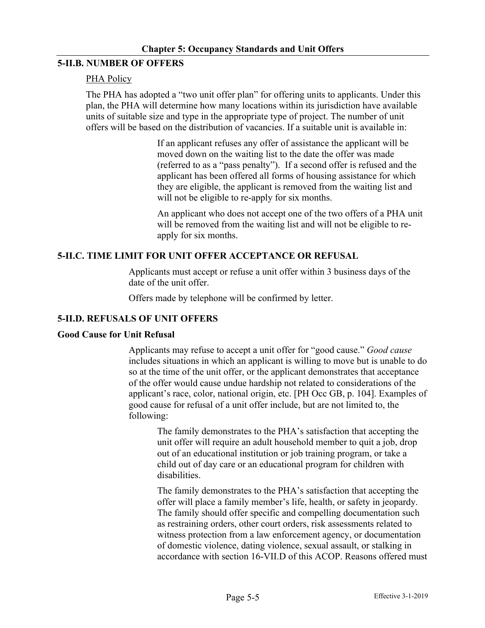### **5-II.B. NUMBER OF OFFERS**

### PHA Policy

The PHA has adopted a "two unit offer plan" for offering units to applicants. Under this plan, the PHA will determine how many locations within its jurisdiction have available units of suitable size and type in the appropriate type of project. The number of unit offers will be based on the distribution of vacancies. If a suitable unit is available in:

> If an applicant refuses any offer of assistance the applicant will be moved down on the waiting list to the date the offer was made (referred to as a "pass penalty"). If a second offer is refused and the applicant has been offered all forms of housing assistance for which they are eligible, the applicant is removed from the waiting list and will not be eligible to re-apply for six months.

An applicant who does not accept one of the two offers of a PHA unit will be removed from the waiting list and will not be eligible to reapply for six months.

# **5-II.C. TIME LIMIT FOR UNIT OFFER ACCEPTANCE OR REFUSAL**

Applicants must accept or refuse a unit offer within 3 business days of the date of the unit offer.

Offers made by telephone will be confirmed by letter.

### **5-II.D. REFUSALS OF UNIT OFFERS**

### **Good Cause for Unit Refusal**

Applicants may refuse to accept a unit offer for "good cause." *Good cause* includes situations in which an applicant is willing to move but is unable to do so at the time of the unit offer, or the applicant demonstrates that acceptance of the offer would cause undue hardship not related to considerations of the applicant's race, color, national origin, etc. [PH Occ GB, p. 104]. Examples of good cause for refusal of a unit offer include, but are not limited to, the following:

The family demonstrates to the PHA's satisfaction that accepting the unit offer will require an adult household member to quit a job, drop out of an educational institution or job training program, or take a child out of day care or an educational program for children with disabilities.

The family demonstrates to the PHA's satisfaction that accepting the offer will place a family member's life, health, or safety in jeopardy. The family should offer specific and compelling documentation such as restraining orders, other court orders, risk assessments related to witness protection from a law enforcement agency, or documentation of domestic violence, dating violence, sexual assault, or stalking in accordance with section 16-VII.D of this ACOP. Reasons offered must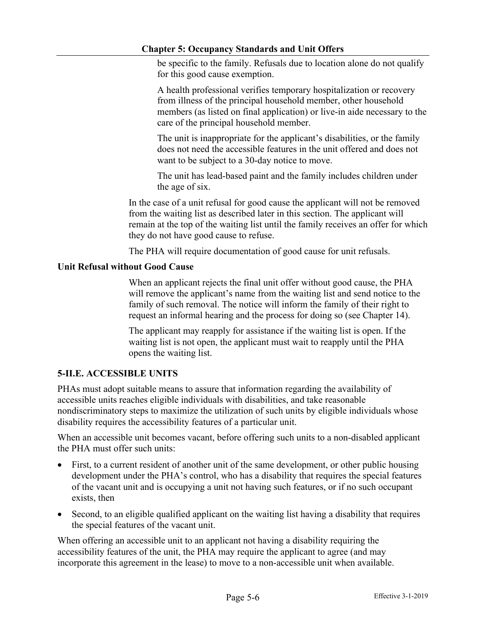be specific to the family. Refusals due to location alone do not qualify for this good cause exemption.

A health professional verifies temporary hospitalization or recovery from illness of the principal household member, other household members (as listed on final application) or live-in aide necessary to the care of the principal household member.

The unit is inappropriate for the applicant's disabilities, or the family does not need the accessible features in the unit offered and does not want to be subject to a 30-day notice to move.

The unit has lead-based paint and the family includes children under the age of six.

In the case of a unit refusal for good cause the applicant will not be removed from the waiting list as described later in this section. The applicant will remain at the top of the waiting list until the family receives an offer for which they do not have good cause to refuse.

The PHA will require documentation of good cause for unit refusals.

### **Unit Refusal without Good Cause**

When an applicant rejects the final unit offer without good cause, the PHA will remove the applicant's name from the waiting list and send notice to the family of such removal. The notice will inform the family of their right to request an informal hearing and the process for doing so (see Chapter 14).

The applicant may reapply for assistance if the waiting list is open. If the waiting list is not open, the applicant must wait to reapply until the PHA opens the waiting list.

# **5-II.E. ACCESSIBLE UNITS**

PHAs must adopt suitable means to assure that information regarding the availability of accessible units reaches eligible individuals with disabilities, and take reasonable nondiscriminatory steps to maximize the utilization of such units by eligible individuals whose disability requires the accessibility features of a particular unit.

When an accessible unit becomes vacant, before offering such units to a non-disabled applicant the PHA must offer such units:

- First, to a current resident of another unit of the same development, or other public housing development under the PHA's control, who has a disability that requires the special features of the vacant unit and is occupying a unit not having such features, or if no such occupant exists, then
- Second, to an eligible qualified applicant on the waiting list having a disability that requires the special features of the vacant unit.

When offering an accessible unit to an applicant not having a disability requiring the accessibility features of the unit, the PHA may require the applicant to agree (and may incorporate this agreement in the lease) to move to a non-accessible unit when available.